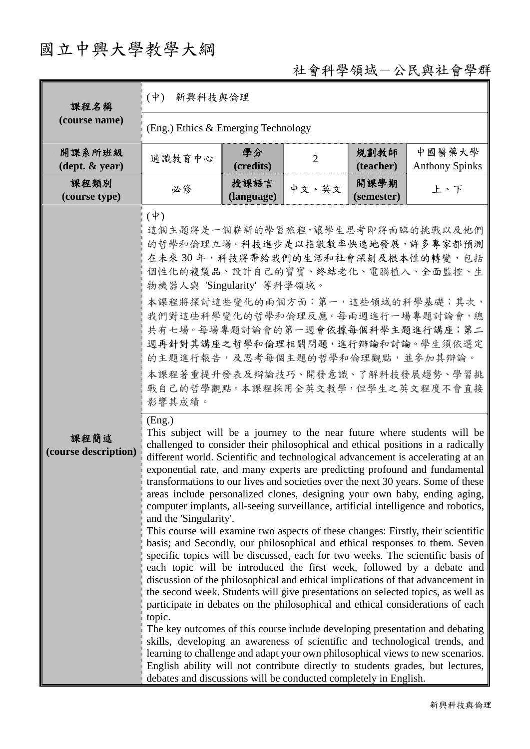# 國立中興大學教學大綱

## 社會科學領域-公民與社會學群

| 課程名稱                                       | $(\dot{\Psi})$<br>新興科技與倫理                                                                                                                                                                                                                                                                  |                                   |       |                                                      |                                                                                                                                                                                                                                                                                                                                                                                                                                                                                                                                                                                                                                                                                                                                                                                                                                                                                                                                                                                                                                                                                                                                                                                                                                                                                                                                                                                                                                                                                                                                                                                                                                                                                                                                                                                                               |  |  |
|--------------------------------------------|--------------------------------------------------------------------------------------------------------------------------------------------------------------------------------------------------------------------------------------------------------------------------------------------|-----------------------------------|-------|------------------------------------------------------|---------------------------------------------------------------------------------------------------------------------------------------------------------------------------------------------------------------------------------------------------------------------------------------------------------------------------------------------------------------------------------------------------------------------------------------------------------------------------------------------------------------------------------------------------------------------------------------------------------------------------------------------------------------------------------------------------------------------------------------------------------------------------------------------------------------------------------------------------------------------------------------------------------------------------------------------------------------------------------------------------------------------------------------------------------------------------------------------------------------------------------------------------------------------------------------------------------------------------------------------------------------------------------------------------------------------------------------------------------------------------------------------------------------------------------------------------------------------------------------------------------------------------------------------------------------------------------------------------------------------------------------------------------------------------------------------------------------------------------------------------------------------------------------------------------------|--|--|
| (course name)                              | $(Eng.)$ Ethics & Emerging Technology                                                                                                                                                                                                                                                      |                                   |       |                                                      |                                                                                                                                                                                                                                                                                                                                                                                                                                                                                                                                                                                                                                                                                                                                                                                                                                                                                                                                                                                                                                                                                                                                                                                                                                                                                                                                                                                                                                                                                                                                                                                                                                                                                                                                                                                                               |  |  |
| 開課系所班級<br>$(\text{dept.} \& \text{ year})$ | 通識教育中心                                                                                                                                                                                                                                                                                     | 學分<br>$\overline{2}$<br>(credits) |       | 中國醫藥大學<br>規劃教師<br>(teacher)<br><b>Anthony Spinks</b> |                                                                                                                                                                                                                                                                                                                                                                                                                                                                                                                                                                                                                                                                                                                                                                                                                                                                                                                                                                                                                                                                                                                                                                                                                                                                                                                                                                                                                                                                                                                                                                                                                                                                                                                                                                                                               |  |  |
| 課程類別<br>(course type)                      | 必修                                                                                                                                                                                                                                                                                         | 授課語言<br>(language)                | 中文、英文 | 開課學期<br>(semester)                                   | 上、下                                                                                                                                                                                                                                                                                                                                                                                                                                                                                                                                                                                                                                                                                                                                                                                                                                                                                                                                                                                                                                                                                                                                                                                                                                                                                                                                                                                                                                                                                                                                                                                                                                                                                                                                                                                                           |  |  |
| 課程簡述<br>(course description)               | $(\boldsymbol{\psi})$<br>個性化的複製品、設計自己的寶寶、終結老化、電腦植入、全面監控、生<br>物機器人與 'Singularity' 等科學領域。<br>本課程將探討這些變化的兩個方面:第一,這些領域的科學基礎;其次,<br>的主題進行報告,及思考每個主題的哲學和倫理觀點,並參加其辯論。<br>影響其成績。<br>(Eng.)<br>and the 'Singularity'.<br>topic.<br>debates and discussions will be conducted completely in English. |                                   |       |                                                      | 這個主題將是一個嶄新的學習旅程,讓學生思考即將面臨的挑戰以及他們<br>的哲學和倫理立場。科技進步是以指數數率快速地發展,許多專家都預測<br>在未來30年,科技將帶給我們的生活和社會深刻及根本性的轉變,包括<br>我們對這些科學變化的哲學和倫理反應。每兩週進行一場專題討論會,總<br>共有七場。每場專題討論會的第一週會依據每個科學主題進行講座;第二<br>週再針對其講座之哲學和倫理相關問題,進行辯論和討論。學生須依選定<br>本課程著重提升發表及辯論技巧、開發意識、了解科技發展趨勢、學習挑<br>戰自己的哲學觀點。本課程採用全英文教學,但學生之英文程度不會直接<br>This subject will be a journey to the near future where students will be<br>challenged to consider their philosophical and ethical positions in a radically<br>different world. Scientific and technological advancement is accelerating at an<br>exponential rate, and many experts are predicting profound and fundamental<br>transformations to our lives and societies over the next 30 years. Some of these<br>areas include personalized clones, designing your own baby, ending aging,<br>computer implants, all-seeing surveillance, artificial intelligence and robotics,<br>This course will examine two aspects of these changes: Firstly, their scientific<br>basis; and Secondly, our philosophical and ethical responses to them. Seven<br>specific topics will be discussed, each for two weeks. The scientific basis of<br>each topic will be introduced the first week, followed by a debate and<br>discussion of the philosophical and ethical implications of that advancement in<br>the second week. Students will give presentations on selected topics, as well as<br>participate in debates on the philosophical and ethical considerations of each<br>The key outcomes of this course include developing presentation and debating<br>skills, developing an awareness of scientific and technological trends, and<br>learning to challenge and adapt your own philosophical views to new scenarios.<br>English ability will not contribute directly to students grades, but lectures, |  |  |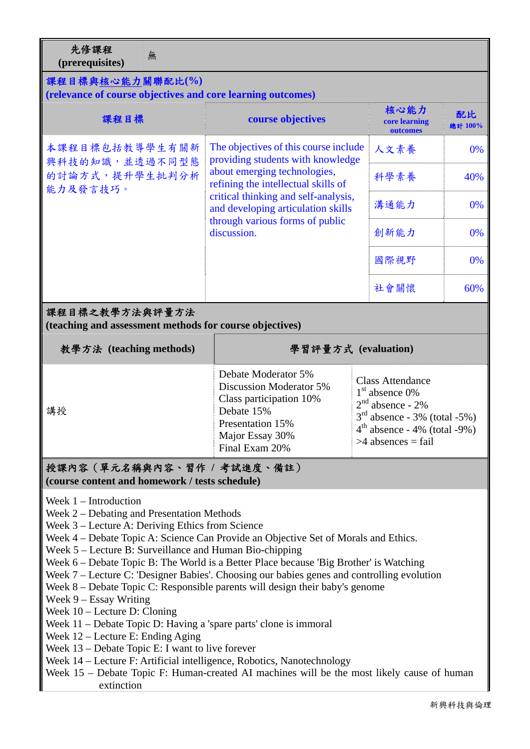先修課程 フレッジ<br>
(prerequisites)

#### 課程目標與核心能力關聯配比**(%)**

**(relevance of course objectives and core learning outcomes)** 

| (relevance of course objectives and core learning outcomes)                  |                                                                                                                                                                                                                                                                                   |  |                                                                                                                                                               |               |  |
|------------------------------------------------------------------------------|-----------------------------------------------------------------------------------------------------------------------------------------------------------------------------------------------------------------------------------------------------------------------------------|--|---------------------------------------------------------------------------------------------------------------------------------------------------------------|---------------|--|
| 課程目標                                                                         | course objectives                                                                                                                                                                                                                                                                 |  | 核心能力<br>core learning<br>outcomes                                                                                                                             | 配比<br>總計 100% |  |
| 本課程目標包括教導學生有關新<br>興科技的知識,並透過不同型態                                             | The objectives of this course include<br>providing students with knowledge<br>about emerging technologies,<br>refining the intellectual skills of<br>critical thinking and self-analysis,<br>and developing articulation skills<br>through various forms of public<br>discussion. |  | 人文素養                                                                                                                                                          | 0%            |  |
| 的討論方式,提升學生批判分析<br>能力及發言技巧。                                                   |                                                                                                                                                                                                                                                                                   |  | 科學素養                                                                                                                                                          | 40%           |  |
|                                                                              |                                                                                                                                                                                                                                                                                   |  | 溝通能力                                                                                                                                                          | 0%            |  |
|                                                                              |                                                                                                                                                                                                                                                                                   |  | 創新能力                                                                                                                                                          | 0%            |  |
|                                                                              |                                                                                                                                                                                                                                                                                   |  | 國際視野                                                                                                                                                          | 0%            |  |
|                                                                              |                                                                                                                                                                                                                                                                                   |  | 社會關懷                                                                                                                                                          | 60%           |  |
| 課程目標之教學方法與評量方法<br>(teaching and assessment methods for course objectives)    |                                                                                                                                                                                                                                                                                   |  |                                                                                                                                                               |               |  |
| 教學方法 (teaching methods)                                                      | 學習評量方式 (evaluation)                                                                                                                                                                                                                                                               |  |                                                                                                                                                               |               |  |
| 講授                                                                           | Debate Moderator 5%<br>Discussion Moderator 5%<br>Class participation 10%<br>Debate 15%                                                                                                                                                                                           |  | <b>Class Attendance</b><br>$1st$ absence 0%<br>$2nd$ absence - 2%<br>$3rd$ absence - 3% (total -5%)<br>$4th$ absence - 4% (total -9%)<br>$>4$ absences = fail |               |  |
|                                                                              | Presentation 15%<br>Major Essay 30%<br>Final Exam 20%                                                                                                                                                                                                                             |  |                                                                                                                                                               |               |  |
| 授課內容(單元名稱與內容、習作 / 考試進度、備註)<br>(course content and homework / tests schedule) |                                                                                                                                                                                                                                                                                   |  |                                                                                                                                                               |               |  |

- Week 7 Lecture C: 'Designer Babies'. Choosing our babies genes and controlling evolution
- Week 8 Debate Topic C: Responsible parents will design their baby's genome
- Week 9 Essay Writing
- Week 10 Lecture D: Cloning
- Week 11 Debate Topic D: Having a 'spare parts' clone is immoral
- Week 12 Lecture E: Ending Aging
- Week 13 Debate Topic E: I want to live forever
- Week 14 Lecture F: Artificial intelligence, Robotics, Nanotechnology
- Week 15 Debate Topic F: Human-created AI machines will be the most likely cause of human extinction